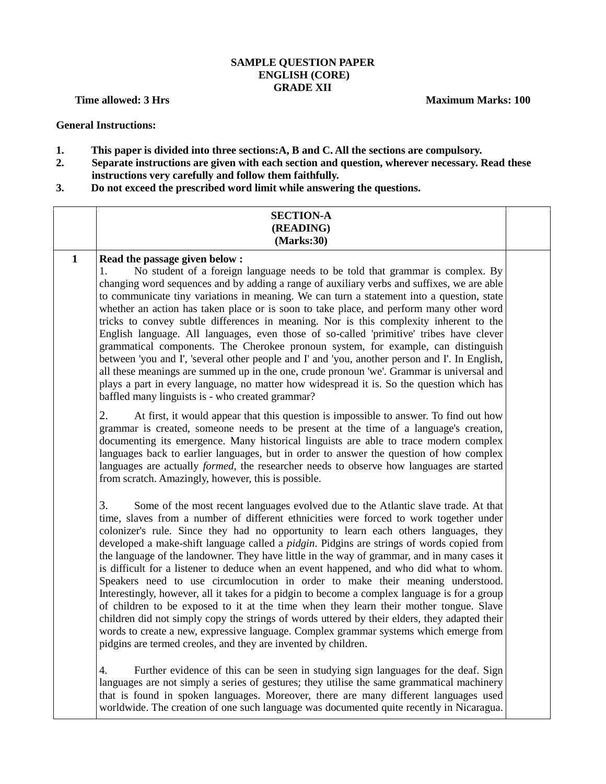## **SAMPLE QUESTION PAPER ENGLISH (CORE) GRADE XII**

**Time allowed: 3 Hrs Maximum Marks: 100** 

## **General Instructions:**

- **1. This paper is divided into three sections:A, B and C. All the sections are compulsory.**
- **2. Separate instructions are given with each section and question, wherever necessary. Read these instructions very carefully and follow them faithfully.**
- **3. Do not exceed the prescribed word limit while answering the questions.**

|   | <b>SECTION-A</b><br>(READING)<br>(Marks:30)                                                                                                                                                                                                                                                                                                                                                                                                                                                                                                                                                                                                                                                                                                                                                                                                                                                                                                                                                                                                                                                                        |  |
|---|--------------------------------------------------------------------------------------------------------------------------------------------------------------------------------------------------------------------------------------------------------------------------------------------------------------------------------------------------------------------------------------------------------------------------------------------------------------------------------------------------------------------------------------------------------------------------------------------------------------------------------------------------------------------------------------------------------------------------------------------------------------------------------------------------------------------------------------------------------------------------------------------------------------------------------------------------------------------------------------------------------------------------------------------------------------------------------------------------------------------|--|
| 1 | Read the passage given below :<br>No student of a foreign language needs to be told that grammar is complex. By<br>1.<br>changing word sequences and by adding a range of auxiliary verbs and suffixes, we are able<br>to communicate tiny variations in meaning. We can turn a statement into a question, state<br>whether an action has taken place or is soon to take place, and perform many other word<br>tricks to convey subtle differences in meaning. Nor is this complexity inherent to the<br>English language. All languages, even those of so-called 'primitive' tribes have clever<br>grammatical components. The Cherokee pronoun system, for example, can distinguish<br>between 'you and I', 'several other people and I' and 'you, another person and I'. In English,<br>all these meanings are summed up in the one, crude pronoun 'we'. Grammar is universal and<br>plays a part in every language, no matter how widespread it is. So the question which has<br>baffled many linguists is - who created grammar?                                                                              |  |
|   | 2.<br>At first, it would appear that this question is impossible to answer. To find out how<br>grammar is created, someone needs to be present at the time of a language's creation,<br>documenting its emergence. Many historical linguists are able to trace modern complex<br>languages back to earlier languages, but in order to answer the question of how complex<br>languages are actually formed, the researcher needs to observe how languages are started<br>from scratch. Amazingly, however, this is possible.                                                                                                                                                                                                                                                                                                                                                                                                                                                                                                                                                                                        |  |
|   | 3.<br>Some of the most recent languages evolved due to the Atlantic slave trade. At that<br>time, slaves from a number of different ethnicities were forced to work together under<br>colonizer's rule. Since they had no opportunity to learn each others languages, they<br>developed a make-shift language called a <i>pidgin</i> . Pidgins are strings of words copied from<br>the language of the landowner. They have little in the way of grammar, and in many cases it<br>is difficult for a listener to deduce when an event happened, and who did what to whom.<br>Speakers need to use circumlocution in order to make their meaning understood.<br>Interestingly, however, all it takes for a pidgin to become a complex language is for a group<br>of children to be exposed to it at the time when they learn their mother tongue. Slave<br>children did not simply copy the strings of words uttered by their elders, they adapted their<br>words to create a new, expressive language. Complex grammar systems which emerge from<br>pidgins are termed creoles, and they are invented by children. |  |
|   | Further evidence of this can be seen in studying sign languages for the deaf. Sign<br>4.<br>languages are not simply a series of gestures; they utilise the same grammatical machinery<br>that is found in spoken languages. Moreover, there are many different languages used<br>worldwide. The creation of one such language was documented quite recently in Nicaragua.                                                                                                                                                                                                                                                                                                                                                                                                                                                                                                                                                                                                                                                                                                                                         |  |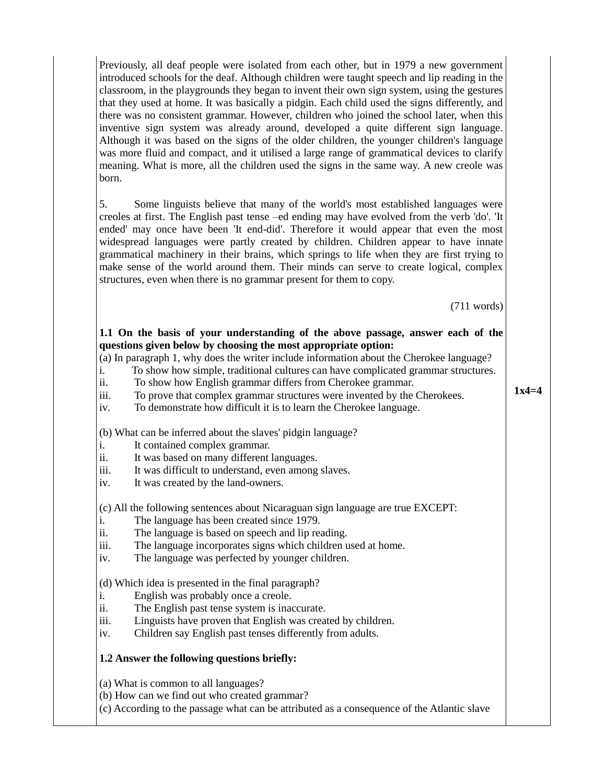Previously, all deaf people were isolated from each other, but in 1979 a new government introduced schools for the deaf. Although children were taught speech and lip reading in the classroom, in the playgrounds they began to invent their own sign system, using the gestures that they used at home. It was basically a pidgin. Each child used the signs differently, and there was no consistent grammar. However, children who joined the school later, when this inventive sign system was already around, developed a quite different sign language. Although it was based on the signs of the older children, the younger children's language was more fluid and compact, and it utilised a large range of grammatical devices to clarify meaning. What is more, all the children used the signs in the same way. A new creole was born.

5. Some linguists believe that many of the world's most established languages were creoles at first. The English past tense –ed ending may have evolved from the verb 'do'. 'It ended' may once have been 'It end-did'. Therefore it would appear that even the most widespread languages were partly created by children. Children appear to have innate grammatical machinery in their brains, which springs to life when they are first trying to make sense of the world around them. Their minds can serve to create logical, complex structures, even when there is no grammar present for them to copy.

(711 words)

|      | 1.1 On the basis of your understanding of the above passage, answer each of the<br>questions given below by choosing the most appropriate option: |         |
|------|---------------------------------------------------------------------------------------------------------------------------------------------------|---------|
|      | (a) In paragraph 1, why does the writer include information about the Cherokee language?                                                          |         |
| i.   | To show how simple, traditional cultures can have complicated grammar structures.                                                                 |         |
| ii.  | To show how English grammar differs from Cherokee grammar.                                                                                        |         |
| iii. | To prove that complex grammar structures were invented by the Cherokees.                                                                          | $1x4=4$ |
| iv.  | To demonstrate how difficult it is to learn the Cherokee language.                                                                                |         |
|      | (b) What can be inferred about the slaves' pidgin language?                                                                                       |         |
| i.   | It contained complex grammar.                                                                                                                     |         |
| ii.  | It was based on many different languages.                                                                                                         |         |
| iii. | It was difficult to understand, even among slaves.                                                                                                |         |
| iv.  | It was created by the land-owners.                                                                                                                |         |
|      | (c) All the following sentences about Nicaraguan sign language are true EXCEPT:                                                                   |         |
| i.   | The language has been created since 1979.                                                                                                         |         |
| ii.  | The language is based on speech and lip reading.                                                                                                  |         |
| iii. | The language incorporates signs which children used at home.                                                                                      |         |
| iv.  | The language was perfected by younger children.                                                                                                   |         |
|      | (d) Which idea is presented in the final paragraph?                                                                                               |         |
| i.   | English was probably once a creole.                                                                                                               |         |
| ii.  | The English past tense system is inaccurate.                                                                                                      |         |
| iii. | Linguists have proven that English was created by children.                                                                                       |         |
| iv.  | Children say English past tenses differently from adults.                                                                                         |         |
|      | 1.2 Answer the following questions briefly:                                                                                                       |         |
|      | (a) What is common to all languages?                                                                                                              |         |
|      | (b) How can we find out who created grammar?                                                                                                      |         |
|      | (c) According to the passage what can be attributed as a consequence of the Atlantic slave                                                        |         |
|      |                                                                                                                                                   |         |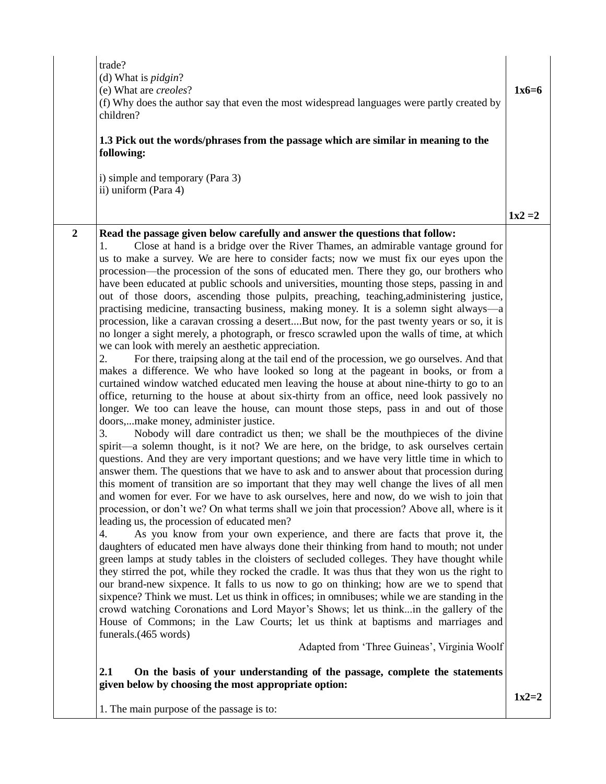|                  | trade?<br>(d) What is <i>pidgin</i> ?<br>(e) What are creoles?<br>(f) Why does the author say that even the most widespread languages were partly created by<br>children?<br>1.3 Pick out the words/phrases from the passage which are similar in meaning to the<br>following:<br>i) simple and temporary (Para 3)                                                                                                                                                                                                                                                                                                                                                                                                                                                                                                                                                                                                                                                                                                                                                                                                                                                                                                                                                                                                                                                                                                                                                                                                                                                                                                                                                                                                                                                                                                                                                                                                                                                                                                                                                                                                                                                                                                                                                                                                                                                                                                                                                                                                                                                                                                                                                                                                                                                                                                                                                                                                                                                                                                                                                                                                | $1x6=6$    |
|------------------|-------------------------------------------------------------------------------------------------------------------------------------------------------------------------------------------------------------------------------------------------------------------------------------------------------------------------------------------------------------------------------------------------------------------------------------------------------------------------------------------------------------------------------------------------------------------------------------------------------------------------------------------------------------------------------------------------------------------------------------------------------------------------------------------------------------------------------------------------------------------------------------------------------------------------------------------------------------------------------------------------------------------------------------------------------------------------------------------------------------------------------------------------------------------------------------------------------------------------------------------------------------------------------------------------------------------------------------------------------------------------------------------------------------------------------------------------------------------------------------------------------------------------------------------------------------------------------------------------------------------------------------------------------------------------------------------------------------------------------------------------------------------------------------------------------------------------------------------------------------------------------------------------------------------------------------------------------------------------------------------------------------------------------------------------------------------------------------------------------------------------------------------------------------------------------------------------------------------------------------------------------------------------------------------------------------------------------------------------------------------------------------------------------------------------------------------------------------------------------------------------------------------------------------------------------------------------------------------------------------------------------------------------------------------------------------------------------------------------------------------------------------------------------------------------------------------------------------------------------------------------------------------------------------------------------------------------------------------------------------------------------------------------------------------------------------------------------------------------------------------|------------|
|                  | ii) uniform (Para 4)                                                                                                                                                                                                                                                                                                                                                                                                                                                                                                                                                                                                                                                                                                                                                                                                                                                                                                                                                                                                                                                                                                                                                                                                                                                                                                                                                                                                                                                                                                                                                                                                                                                                                                                                                                                                                                                                                                                                                                                                                                                                                                                                                                                                                                                                                                                                                                                                                                                                                                                                                                                                                                                                                                                                                                                                                                                                                                                                                                                                                                                                                              | $1x^2 = 2$ |
| $\boldsymbol{2}$ | Read the passage given below carefully and answer the questions that follow:<br>Close at hand is a bridge over the River Thames, an admirable vantage ground for<br>1.<br>us to make a survey. We are here to consider facts; now we must fix our eyes upon the<br>procession—the procession of the sons of educated men. There they go, our brothers who<br>have been educated at public schools and universities, mounting those steps, passing in and<br>out of those doors, ascending those pulpits, preaching, teaching, administering justice,<br>practising medicine, transacting business, making money. It is a solemn sight always—a<br>procession, like a caravan crossing a desertBut now, for the past twenty years or so, it is<br>no longer a sight merely, a photograph, or fresco scrawled upon the walls of time, at which<br>we can look with merely an aesthetic appreciation.<br>For there, traipsing along at the tail end of the procession, we go ourselves. And that<br>2.<br>makes a difference. We who have looked so long at the pageant in books, or from a<br>curtained window watched educated men leaving the house at about nine-thirty to go to an<br>office, returning to the house at about six-thirty from an office, need look passively no<br>longer. We too can leave the house, can mount those steps, pass in and out of those<br>doors,make money, administer justice.<br>3.<br>Nobody will dare contradict us then; we shall be the mouthpieces of the divine<br>spirit—a solemn thought, is it not? We are here, on the bridge, to ask ourselves certain<br>questions. And they are very important questions; and we have very little time in which to<br>answer them. The questions that we have to ask and to answer about that procession during<br>this moment of transition are so important that they may well change the lives of all men<br>and women for ever. For we have to ask ourselves, here and now, do we wish to join that<br>procession, or don't we? On what terms shall we join that procession? Above all, where is it<br>leading us, the procession of educated men?<br>As you know from your own experience, and there are facts that prove it, the<br>4.<br>daughters of educated men have always done their thinking from hand to mouth; not under<br>green lamps at study tables in the cloisters of secluded colleges. They have thought while<br>they stirred the pot, while they rocked the cradle. It was thus that they won us the right to<br>our brand-new sixpence. It falls to us now to go on thinking; how are we to spend that<br>sixpence? Think we must. Let us think in offices; in omnibuses; while we are standing in the<br>crowd watching Coronations and Lord Mayor's Shows; let us thinkin the gallery of the<br>House of Commons; in the Law Courts; let us think at baptisms and marriages and<br>funerals.(465 words)<br>Adapted from 'Three Guineas', Virginia Woolf<br>On the basis of your understanding of the passage, complete the statements<br>2.1<br>given below by choosing the most appropriate option: |            |
|                  | 1. The main purpose of the passage is to:                                                                                                                                                                                                                                                                                                                                                                                                                                                                                                                                                                                                                                                                                                                                                                                                                                                                                                                                                                                                                                                                                                                                                                                                                                                                                                                                                                                                                                                                                                                                                                                                                                                                                                                                                                                                                                                                                                                                                                                                                                                                                                                                                                                                                                                                                                                                                                                                                                                                                                                                                                                                                                                                                                                                                                                                                                                                                                                                                                                                                                                                         | $1x^2=2$   |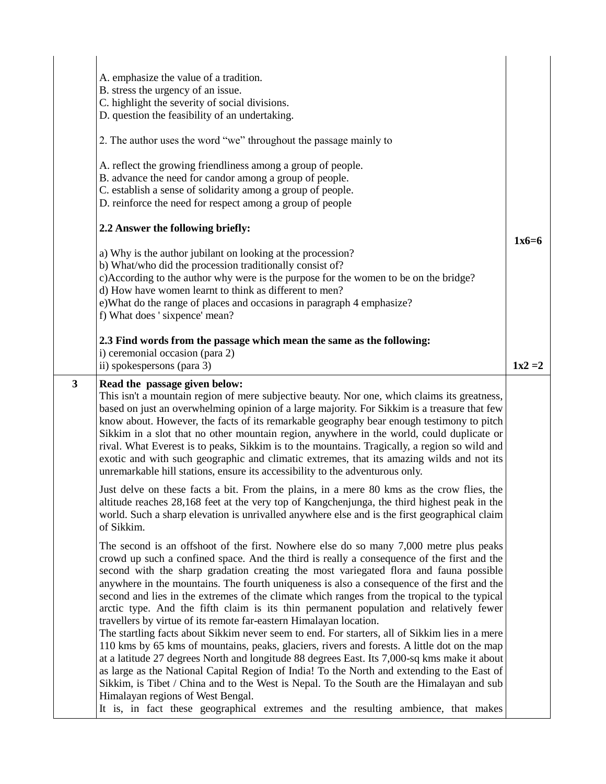| A. emphasize the value of a tradition.                                                                                                                                                     |            |
|--------------------------------------------------------------------------------------------------------------------------------------------------------------------------------------------|------------|
| B. stress the urgency of an issue.                                                                                                                                                         |            |
| C. highlight the severity of social divisions.                                                                                                                                             |            |
| D. question the feasibility of an undertaking.                                                                                                                                             |            |
| 2. The author uses the word "we" throughout the passage mainly to                                                                                                                          |            |
| A. reflect the growing friendliness among a group of people.                                                                                                                               |            |
| B. advance the need for candor among a group of people.                                                                                                                                    |            |
| C. establish a sense of solidarity among a group of people.                                                                                                                                |            |
| D. reinforce the need for respect among a group of people                                                                                                                                  |            |
| 2.2 Answer the following briefly:                                                                                                                                                          |            |
|                                                                                                                                                                                            | $1x6=6$    |
| a) Why is the author jubilant on looking at the procession?                                                                                                                                |            |
| b) What/who did the procession traditionally consist of?                                                                                                                                   |            |
| c)According to the author why were is the purpose for the women to be on the bridge?                                                                                                       |            |
| d) How have women learnt to think as different to men?                                                                                                                                     |            |
| e) What do the range of places and occasions in paragraph 4 emphasize?                                                                                                                     |            |
| f) What does 'sixpence' mean?                                                                                                                                                              |            |
| 2.3 Find words from the passage which mean the same as the following:                                                                                                                      |            |
| i) ceremonial occasion (para 2)                                                                                                                                                            |            |
| ii) spokespersons (para 3)                                                                                                                                                                 | $1x^2 = 2$ |
| Read the passage given below:                                                                                                                                                              |            |
| This isn't a mountain region of mere subjective beauty. Nor one, which claims its greatness,                                                                                               |            |
| based on just an overwhelming opinion of a large majority. For Sikkim is a treasure that few                                                                                               |            |
| know about. However, the facts of its remarkable geography bear enough testimony to pitch                                                                                                  |            |
| Sikkim in a slot that no other mountain region, anywhere in the world, could duplicate or                                                                                                  |            |
| rival. What Everest is to peaks, Sikkim is to the mountains. Tragically, a region so wild and<br>exotic and with such geographic and climatic extremes, that its amazing wilds and not its |            |
| unremarkable hill stations, ensure its accessibility to the adventurous only.                                                                                                              |            |
| Just delve on these facts a bit. From the plains, in a mere 80 kms as the crow flies, the                                                                                                  |            |
| altitude reaches 28,168 feet at the very top of Kangchenjunga, the third highest peak in the                                                                                               |            |
| world. Such a sharp elevation is unrivalled anywhere else and is the first geographical claim                                                                                              |            |
| of Sikkim.                                                                                                                                                                                 |            |
| The second is an offshoot of the first. Nowhere else do so many 7,000 metre plus peaks                                                                                                     |            |
| crowd up such a confined space. And the third is really a consequence of the first and the                                                                                                 |            |
| second with the sharp gradation creating the most variegated flora and fauna possible                                                                                                      |            |
| anywhere in the mountains. The fourth uniqueness is also a consequence of the first and the                                                                                                |            |
| second and lies in the extremes of the climate which ranges from the tropical to the typical                                                                                               |            |
| arctic type. And the fifth claim is its thin permanent population and relatively fewer                                                                                                     |            |
| travellers by virtue of its remote far-eastern Himalayan location.                                                                                                                         |            |
| The startling facts about Sikkim never seem to end. For starters, all of Sikkim lies in a mere                                                                                             |            |
| 110 kms by 65 kms of mountains, peaks, glaciers, rivers and forests. A little dot on the map                                                                                               |            |
| at a latitude 27 degrees North and longitude 88 degrees East. Its 7,000-sq kms make it about                                                                                               |            |
| as large as the National Capital Region of India! To the North and extending to the East of                                                                                                |            |
| Sikkim, is Tibet / China and to the West is Nepal. To the South are the Himalayan and sub                                                                                                  |            |
| Himalayan regions of West Bengal.                                                                                                                                                          |            |
| It is, in fact these geographical extremes and the resulting ambience, that makes                                                                                                          |            |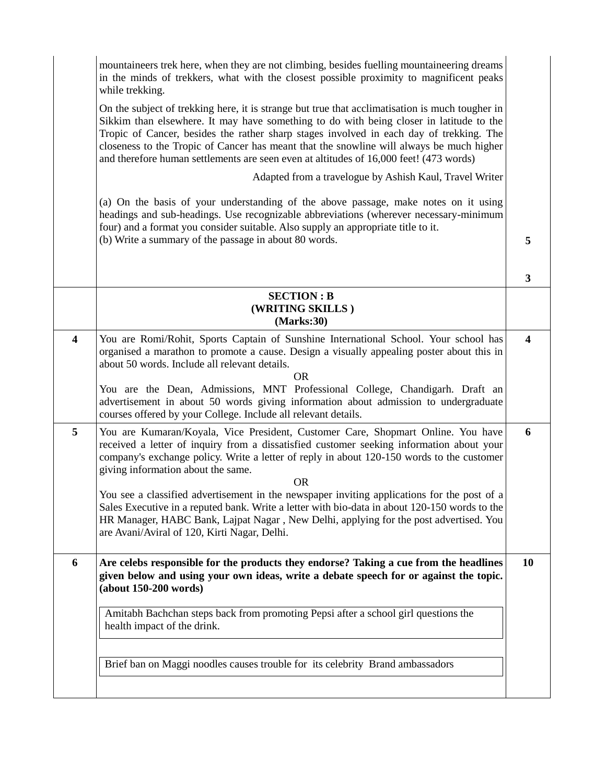|                         | mountaineers trek here, when they are not climbing, besides fuelling mountaineering dreams<br>in the minds of trekkers, what with the closest possible proximity to magnificent peaks<br>while trekking.<br>On the subject of trekking here, it is strange but true that acclimatisation is much tougher in<br>Sikkim than elsewhere. It may have something to do with being closer in latitude to the<br>Tropic of Cancer, besides the rather sharp stages involved in each day of trekking. The<br>closeness to the Tropic of Cancer has meant that the snowline will always be much higher<br>and therefore human settlements are seen even at altitudes of 16,000 feet! (473 words)<br>Adapted from a travelogue by Ashish Kaul, Travel Writer<br>(a) On the basis of your understanding of the above passage, make notes on it using<br>headings and sub-headings. Use recognizable abbreviations (wherever necessary-minimum<br>four) and a format you consider suitable. Also supply an appropriate title to it. |                         |
|-------------------------|-------------------------------------------------------------------------------------------------------------------------------------------------------------------------------------------------------------------------------------------------------------------------------------------------------------------------------------------------------------------------------------------------------------------------------------------------------------------------------------------------------------------------------------------------------------------------------------------------------------------------------------------------------------------------------------------------------------------------------------------------------------------------------------------------------------------------------------------------------------------------------------------------------------------------------------------------------------------------------------------------------------------------|-------------------------|
|                         | (b) Write a summary of the passage in about 80 words.                                                                                                                                                                                                                                                                                                                                                                                                                                                                                                                                                                                                                                                                                                                                                                                                                                                                                                                                                                   | 5                       |
|                         |                                                                                                                                                                                                                                                                                                                                                                                                                                                                                                                                                                                                                                                                                                                                                                                                                                                                                                                                                                                                                         | 3                       |
|                         | <b>SECTION: B</b><br>(WRITING SKILLS)<br>(Marks:30)                                                                                                                                                                                                                                                                                                                                                                                                                                                                                                                                                                                                                                                                                                                                                                                                                                                                                                                                                                     |                         |
| $\overline{\mathbf{4}}$ | You are Romi/Rohit, Sports Captain of Sunshine International School. Your school has<br>organised a marathon to promote a cause. Design a visually appealing poster about this in<br>about 50 words. Include all relevant details.<br><b>OR</b><br>You are the Dean, Admissions, MNT Professional College, Chandigarh. Draft an<br>advertisement in about 50 words giving information about admission to undergraduate<br>courses offered by your College. Include all relevant details.                                                                                                                                                                                                                                                                                                                                                                                                                                                                                                                                | $\overline{\mathbf{4}}$ |
| 5                       | You are Kumaran/Koyala, Vice President, Customer Care, Shopmart Online. You have<br>received a letter of inquiry from a dissatisfied customer seeking information about your<br>company's exchange policy. Write a letter of reply in about 120-150 words to the customer<br>giving information about the same.<br><b>OR</b><br>You see a classified advertisement in the newspaper inviting applications for the post of a<br>Sales Executive in a reputed bank. Write a letter with bio-data in about 120-150 words to the<br>HR Manager, HABC Bank, Lajpat Nagar, New Delhi, applying for the post advertised. You<br>are Avani/Aviral of 120, Kirti Nagar, Delhi.                                                                                                                                                                                                                                                                                                                                                   | 6                       |
| 6                       | Are celebs responsible for the products they endorse? Taking a cue from the headlines<br>given below and using your own ideas, write a debate speech for or against the topic.<br>(about 150-200 words)<br>Amitabh Bachchan steps back from promoting Pepsi after a school girl questions the<br>health impact of the drink.<br>Brief ban on Maggi noodles causes trouble for its celebrity Brand ambassadors                                                                                                                                                                                                                                                                                                                                                                                                                                                                                                                                                                                                           | 10                      |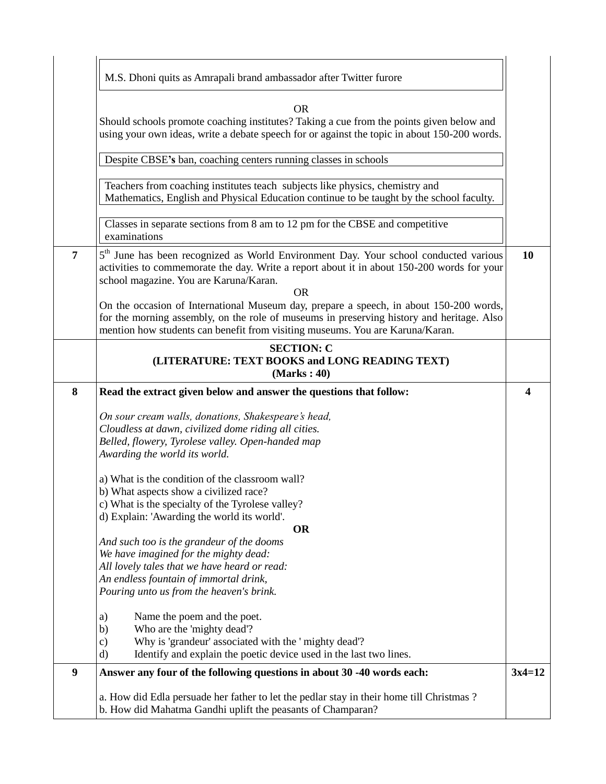|                  | M.S. Dhoni quits as Amrapali brand ambassador after Twitter furore                                                                                                                                                                                                   |          |
|------------------|----------------------------------------------------------------------------------------------------------------------------------------------------------------------------------------------------------------------------------------------------------------------|----------|
|                  | <b>OR</b>                                                                                                                                                                                                                                                            |          |
|                  | Should schools promote coaching institutes? Taking a cue from the points given below and<br>using your own ideas, write a debate speech for or against the topic in about 150-200 words.                                                                             |          |
|                  | Despite CBSE's ban, coaching centers running classes in schools                                                                                                                                                                                                      |          |
|                  | Teachers from coaching institutes teach subjects like physics, chemistry and<br>Mathematics, English and Physical Education continue to be taught by the school faculty.                                                                                             |          |
|                  | Classes in separate sections from 8 am to 12 pm for the CBSE and competitive<br>examinations                                                                                                                                                                         |          |
| $\overline{7}$   | 5 <sup>th</sup> June has been recognized as World Environment Day. Your school conducted various<br>activities to commemorate the day. Write a report about it in about 150-200 words for your<br>school magazine. You are Karuna/Karan.<br><b>OR</b>                | 10       |
|                  | On the occasion of International Museum day, prepare a speech, in about 150-200 words,<br>for the morning assembly, on the role of museums in preserving history and heritage. Also<br>mention how students can benefit from visiting museums. You are Karuna/Karan. |          |
|                  | <b>SECTION: C</b><br>(LITERATURE: TEXT BOOKS and LONG READING TEXT)<br>(Marks: 40)                                                                                                                                                                                   |          |
| 8                | Read the extract given below and answer the questions that follow:                                                                                                                                                                                                   | 4        |
|                  | On sour cream walls, donations, Shakespeare's head,<br>Cloudless at dawn, civilized dome riding all cities.<br>Belled, flowery, Tyrolese valley. Open-handed map<br>Awarding the world its world.                                                                    |          |
|                  | a) What is the condition of the classroom wall?<br>b) What aspects show a civilized race?<br>c) What is the specialty of the Tyrolese valley?<br>d) Explain: 'Awarding the world its world'.                                                                         |          |
|                  | <b>OR</b>                                                                                                                                                                                                                                                            |          |
|                  | And such too is the grandeur of the dooms<br>We have imagined for the mighty dead:                                                                                                                                                                                   |          |
|                  | All lovely tales that we have heard or read:                                                                                                                                                                                                                         |          |
|                  | An endless fountain of immortal drink,                                                                                                                                                                                                                               |          |
|                  | Pouring unto us from the heaven's brink.                                                                                                                                                                                                                             |          |
|                  | Name the poem and the poet.<br>a)                                                                                                                                                                                                                                    |          |
|                  | Who are the 'mighty dead'?<br>b)<br>Why is 'grandeur' associated with the ' mighty dead'?<br>$\mathbf{c})$                                                                                                                                                           |          |
|                  | d)<br>Identify and explain the poetic device used in the last two lines.                                                                                                                                                                                             |          |
| $\boldsymbol{9}$ | Answer any four of the following questions in about 30 -40 words each:                                                                                                                                                                                               | $3x4=12$ |
|                  | a. How did Edla persuade her father to let the pedlar stay in their home till Christmas?<br>b. How did Mahatma Gandhi uplift the peasants of Champaran?                                                                                                              |          |